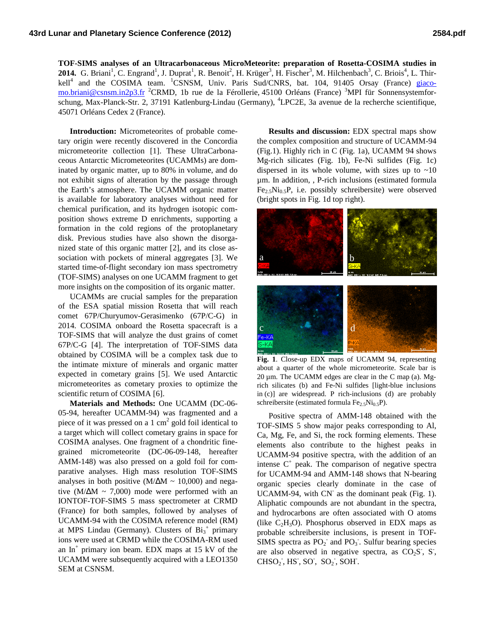**TOF-SIMS analyses of an Ultracarbonaceous MicroMeteorite: preparation of Rosetta-COSIMA studies in**  2014. G. Briani<sup>1</sup>, C. Engrand<sup>1</sup>, J. Duprat<sup>1</sup>, R. Benoit<sup>2</sup>, H. Krüger<sup>3</sup>, H. Fischer<sup>3</sup>, M. Hilchenbach<sup>3</sup>, C. Briois<sup>4</sup>, L. Thirkell<sup>4</sup> and the COSIMA team. <sup>1</sup>CSNSM, Univ. Paris Sud/CNRS, bat. 104, 91405 Orsay (France) giacomo.briani@csnsm.in2p3.fr <sup>2</sup>CRMD, 1b rue de la Férollerie, 45100 Orléans (France) <sup>3</sup>MPI für Sonnensystemforschung, Max-Planck-Str. 2, 37191 Katlenburg-Lindau (Germany), <sup>4</sup>LPC2E, 3a avenue de la recherche scientifique, 45071 Orléans Cedex 2 (France).

**Introduction:** Micrometeorites of probable cometary origin were recently discovered in the Concordia micrometeorite collection [1]. These UltraCarbonaceous Antarctic Micrometeorites (UCAMMs) are dominated by organic matter, up to 80% in volume, and do not exhibit signs of alteration by the passage through the Earth's atmosphere. The UCAMM organic matter is available for laboratory analyses without need for chemical purification, and its hydrogen isotopic composition shows extreme D enrichments, supporting a formation in the cold regions of the protoplanetary disk. Previous studies have also shown the disorganized state of this organic matter [2], and its close association with pockets of mineral aggregates [3]. We started time-of-flight secondary ion mass spectrometry (TOF-SIMS) analyses on one UCAMM fragment to get more insights on the composition of its organic matter.

UCAMMs are crucial samples for the preparation of the ESA spatial mission Rosetta that will reach comet 67P/Churyumov-Gerasimenko (67P/C-G) in 2014. COSIMA onboard the Rosetta spacecraft is a TOF-SIMS that will analyze the dust grains of comet 67P/C-G [4]. The interpretation of TOF-SIMS data obtained by COSIMA will be a complex task due to the intimate mixture of minerals and organic matter expected in cometary grains [5]. We used Antarctic micrometeorites as cometary proxies to optimize the scientific return of COSIMA [6].

**Materials and Methods:** One UCAMM (DC-06- 05-94, hereafter UCAMM-94) was fragmented and a piece of it was pressed on a 1  $\text{cm}^2$  gold foil identical to a target which will collect cometary grains in space for COSIMA analyses. One fragment of a chondritic finegrained micrometeorite (DC-06-09-148, hereafter AMM-148) was also pressed on a gold foil for comparative analyses. High mass resolution TOF-SIMS analyses in both positive (M/ $\Delta M \sim 10,000$ ) and negative (M/ $\Delta M \sim 7,000$ ) mode were performed with an IONTOF-TOF-SIMS 5 mass spectrometer at CRMD (France) for both samples, followed by analyses of UCAMM-94 with the COSIMA reference model (RM) at MPS Lindau (Germany). Clusters of  $Bi_3^+$  primary ions were used at CRMD while the COSIMA-RM used an  $In<sup>+</sup>$  primary ion beam. EDX maps at 15 kV of the UCAMM were subsequently acquired with a LEO1350 SEM at CSNSM.

**Results and discussion:** EDX spectral maps show the complex composition and structure of UCAMM-94 (Fig.1). Highly rich in C (Fig. 1a), UCAMM 94 shows Mg-rich silicates (Fig. 1b), Fe-Ni sulfides (Fig. 1c) dispersed in its whole volume, with sizes up to  $~10$ µm. In addition, , P-rich inclusions (estimated formula  $Fe<sub>2.5</sub>Ni<sub>0.5</sub>P$ , i.e. possibly schreibersite) were observed (bright spots in Fig. 1d top right).



**Fig. 1**. Close-up EDX maps of UCAMM 94, representing about a quarter of the whole micrometeorite. Scale bar is  $20 \mu$ m. The UCAMM edges are clear in the C map (a). Mgrich silicates (b) and Fe-Ni sulfides [light-blue inclusions in (c)] are widespread. P rich-inclusions (d) are probably schreibersite (estimated formula  $Fe<sub>2.5</sub>Ni<sub>0.5</sub>P$ ).

Positive spectra of AMM-148 obtained with the TOF-SIMS 5 show major peaks corresponding to Al, Ca, Mg, Fe, and Si, the rock forming elements. These elements also contribute to the highest peaks in UCAMM-94 positive spectra, with the addition of an intense  $C^+$  peak. The comparison of negative spectra for UCAMM-94 and AMM-148 shows that N-bearing organic species clearly dominate in the case of UCAMM-94, with CN<sup>-</sup> as the dominant peak (Fig. 1). Aliphatic compounds are not abundant in the spectra, and hydrocarbons are often associated with O atoms (like  $C_2H_3O$ ). Phosphorus observed in EDX maps as probable schreibersite inclusions, is present in TOF-SIMS spectra as  $PO_2^-$  and  $PO_3^-$ . Sulfur bearing species are also observed in negative spectra, as  $CO_2S^7$ ,  $S^7$ ,  $CHSO<sub>2</sub>$ ,  $HS$ ,  $SO<sub>2</sub>$ ,  $SO<sub>2</sub>$ ,  $SOH$ .